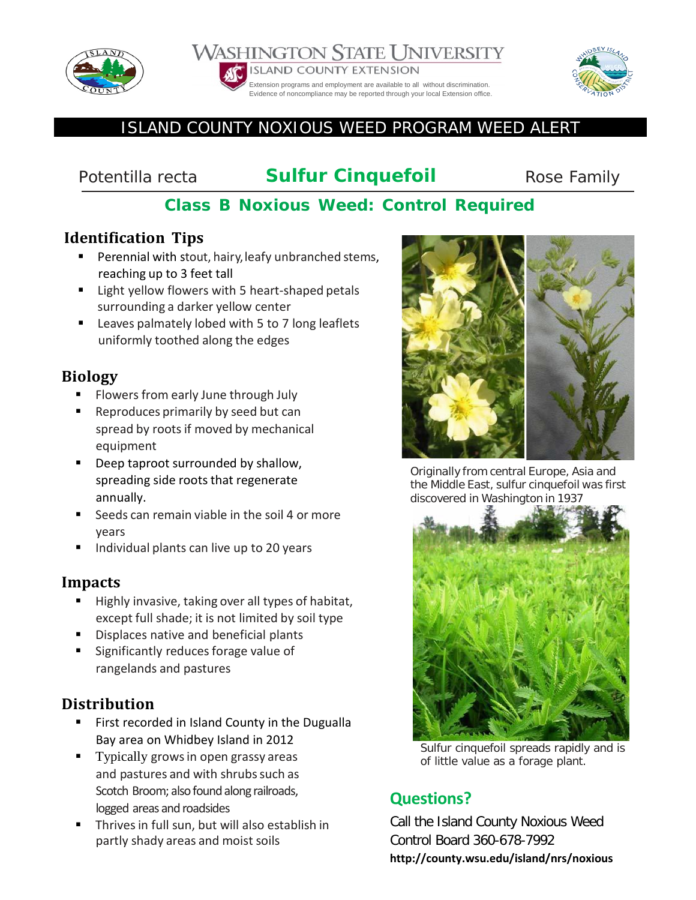

#### WASHINGTON STATE UNIVERSITY **ISLAND COUNTY EXTENSION** Extension programs and employment are available to all without discrimination.

Evidence of noncompliance may be reported through your local Extension office.

# ISLAND COUNTY NOXIOUS WEED PROGRAM WEED ALERT

# **Potentilla recta Sulfur Cinquefoil** Rose Family

# **Class B Noxious Weed: Control Required**

## **Identification Tips**

- **Perennial with stout, hairy, leafy unbranched stems,** reaching up to 3 feet tall
- Light yellow flowers with 5 heart-shaped petals surrounding a darker yellow center
- **E** Leaves palmately lobed with 5 to 7 long leaflets uniformly toothed along the edges

### **Biology**

- Flowers from early June through July
- Reproduces primarily by seed but can spread by roots if moved by mechanical equipment
- Deep taproot surrounded by shallow, spreading side roots that regenerate annually.
- Seeds can remain viable in the soil 4 or more years
- Individual plants can live up to 20 years

#### **Impacts**

- Highly invasive, taking over all types of habitat, except full shade; it is not limited by soil type
- Displaces native and beneficial plants
- Significantly reduces forage value of rangelands and pastures

## **Distribution**

- First recorded in Island County in the Dugualla Bay area on Whidbey Island in 2012
- Typically grows in open grassy areas and pastures and with shrubs such as Scotch Broom; also found along railroads, logged areas and roadsides
- Thrivesin full sun, but will also establish in partly shady areas and moist soils



Originally from central Europe, Asia and the Middle East, sulfur cinquefoil was first discovered in Washington in 1937



Sulfur cinquefoil spreads rapidly and is of little value as a forage plant.

# **Questions?**

Call the Island County Noxious Weed Control Board 360-678-7992 **http://county.wsu.edu/island/nrs/noxious**